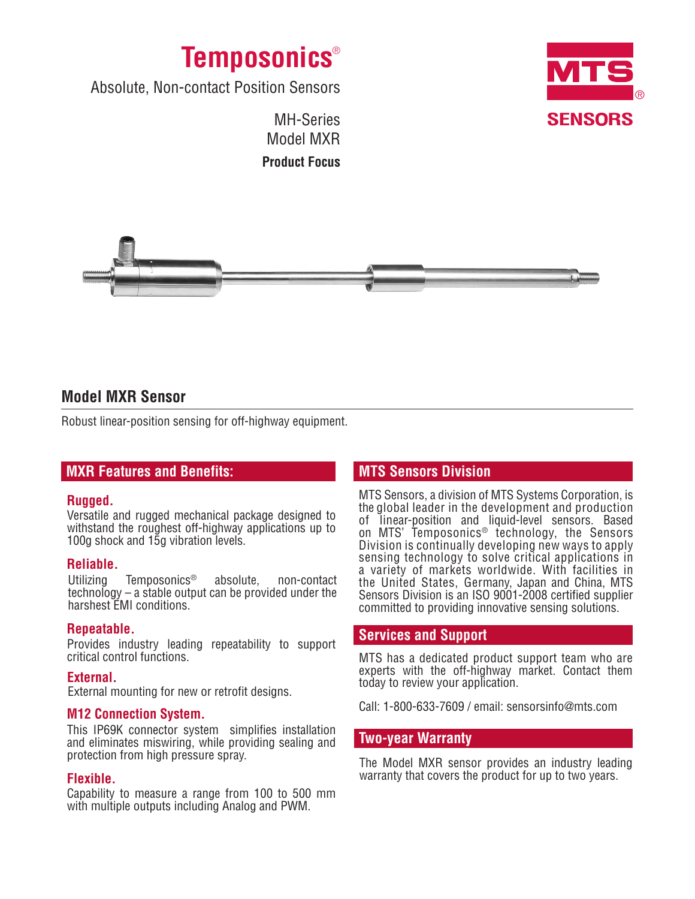

Absolute, Non-contact Position Sensors



MH-Series Model MXR **Product Focus**



## **Model MXR Sensor**

Robust linear-position sensing for off-highway equipment.

### **MXR Features and Benefits:**

#### **Rugged.**

Versatile and rugged mechanical package designed to withstand the roughest off-highway applications up to 100g shock and 15g vibration levels.

#### **Reliable.**

Utilizing Temposonics® absolute, non-contact  $techno\bar{log}v - a$  stable output can be provided under the harshest EMI conditions.

### **Repeatable.**

Provides industry leading repeatability to support critical control functions.

#### **External.**

External mounting for new or retrofit designs.

#### **M12 Connection System.**

This IP69K connector system simplifies installation and eliminates miswiring, while providing sealing and protection from high pressure spray.

### **Flexible.**

Capability to measure a range from 100 to 500 mm with multiple outputs including Analog and PWM.

### **MTS Sensors Division**

MTS Sensors, a division of MTS Systems Corporation, is the global leader in the development and production of linear-position and liquid-level sensors. Based on MTS' Temposonics® technology, the Sensors Division is continually developing new ways to apply sensing technology to solve critical applications in a variety of markets worldwide. With facilities in the United States, Germany, Japan and China, MTS Sensors Division is an ISO 9001-2008 certified supplier committed to providing innovative sensing solutions.

### **Services and Support**

MTS has a dedicated product support team who are experts with the off-highway market. Contact them today to review your application.

Call: 1-800-633-7609 / email: sensorsinfo@mts.com

### **Two-year Warranty**

The Model MXR sensor provides an industry leading warranty that covers the product for up to two years.